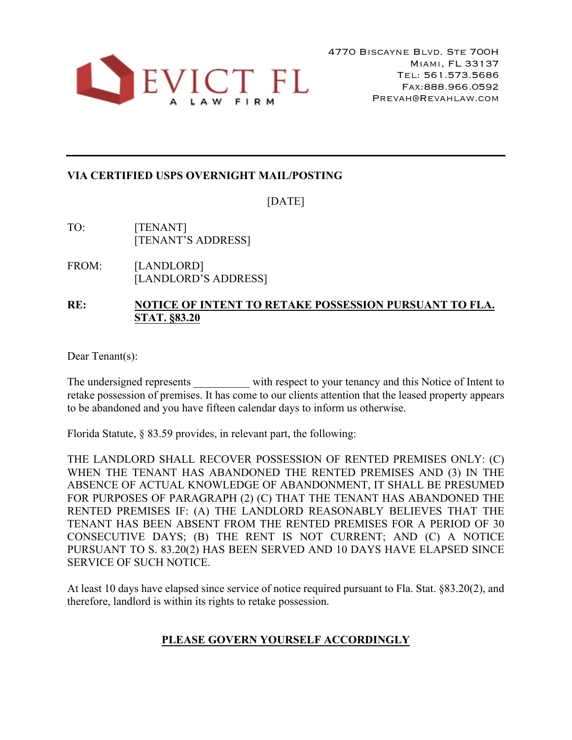

## **VIA CERTIFIED USPS OVERNIGHT MAIL/POSTING**

[DATE]

- TO: [TENANT] [TENANT'S ADDRESS]
- FROM: [LANDLORD] [LANDLORD'S ADDRESS]

## **RE: NOTICE OF INTENT TO RETAKE POSSESSION PURSUANT TO FLA. STAT. §83.20**

Dear Tenant(s):

The undersigned represents with respect to your tenancy and this Notice of Intent to retake possession of premises. It has come to our clients attention that the leased property appears to be abandoned and you have fifteen calendar days to inform us otherwise.

Florida Statute, § 83.59 provides, in relevant part, the following:

THE LANDLORD SHALL RECOVER POSSESSION OF RENTED PREMISES ONLY: (C) WHEN THE TENANT HAS ABANDONED THE RENTED PREMISES AND (3) IN THE ABSENCE OF ACTUAL KNOWLEDGE OF ABANDONMENT, IT SHALL BE PRESUMED FOR PURPOSES OF PARAGRAPH (2) (C) THAT THE TENANT HAS ABANDONED THE RENTED PREMISES IF: (A) THE LANDLORD REASONABLY BELIEVES THAT THE TENANT HAS BEEN ABSENT FROM THE RENTED PREMISES FOR A PERIOD OF 30 CONSECUTIVE DAYS; (B) THE RENT IS NOT CURRENT; AND (C) A NOTICE PURSUANT TO S. 83.20(2) HAS BEEN SERVED AND 10 DAYS HAVE ELAPSED SINCE SERVICE OF SUCH NOTICE.

At least 10 days have elapsed since service of notice required pursuant to Fla. Stat. §83.20(2), and therefore, landlord is within its rights to retake possession.

## **PLEASE GOVERN YOURSELF ACCORDINGLY**